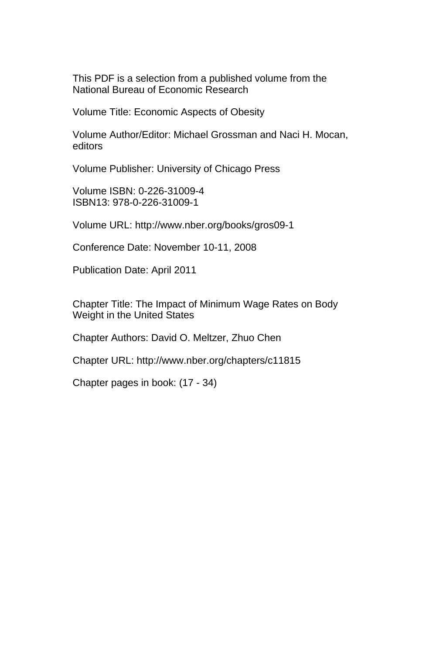This PDF is a selection from a published volume from the National Bureau of Economic Research

Volume Title: Economic Aspects of Obesity

Volume Author/Editor: Michael Grossman and Naci H. Mocan, editors

Volume Publisher: University of Chicago Press

Volume ISBN: 0-226-31009-4 ISBN13: 978-0-226-31009-1

Volume URL: http://www.nber.org/books/gros09-1

Conference Date: November 10-11, 2008

Publication Date: April 2011

Chapter Title: The Impact of Minimum Wage Rates on Body Weight in the United States

Chapter Authors: David O. Meltzer, Zhuo Chen

Chapter URL: http://www.nber.org/chapters/c11815

Chapter pages in book: (17 - 34)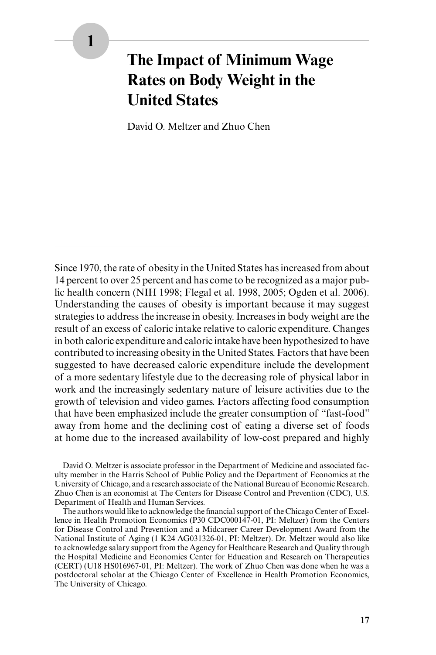# **The Impact of Minimum Wage Rates on Body Weight in the United States**

David O. Meltzer and Zhuo Chen

Since 1970, the rate of obesity in the United States has increased from about 14 percent to over 25 percent and has come to be recognized as a major public health concern (NIH 1998; Flegal et al. 1998, 2005; Ogden et al. 2006). Understanding the causes of obesity is important because it may suggest strategies to address the increase in obesity. Increases in body weight are the result of an excess of caloric intake relative to caloric expenditure. Changes in both caloric expenditure and caloric intake have been hypothesized to have contributed to increasing obesity in the United States. Factors that have been suggested to have decreased caloric expenditure include the development of a more sedentary lifestyle due to the decreasing role of physical labor in work and the increasingly sedentary nature of leisure activities due to the growth of television and video games. Factors affecting food consumption that have been emphasized include the greater consumption of "fast-food" away from home and the declining cost of eating a diverse set of foods at home due to the increased availability of low-cost prepared and highly

David O. Meltzer is associate professor in the Department of Medicine and associated faculty member in the Harris School of Public Policy and the Department of Economics at the University of Chicago, and a research associate of the National Bureau of Economic Research. Zhuo Chen is an economist at The Centers for Disease Control and Prevention (CDC), U.S. Department of Health and Human Services.

The authors would like to acknowledge the financial support of the Chicago Center of Excellence in Health Promotion Economics (P30 CDC000147-01, PI: Meltzer) from the Centers for Disease Control and Prevention and a Midcareer Career Development Award from the National Institute of Aging (1 K24 AG031326-01, PI: Meltzer). Dr. Meltzer would also like to acknowledge salary support from the Agency for Healthcare Research and Quality through the Hospital Medicine and Economics Center for Education and Research on Therapeutics (CERT) (U18 HS016967-01, PI: Meltzer). The work of Zhuo Chen was done when he was a postdoctoral scholar at the Chicago Center of Excellence in Health Promotion Economics, The University of Chicago.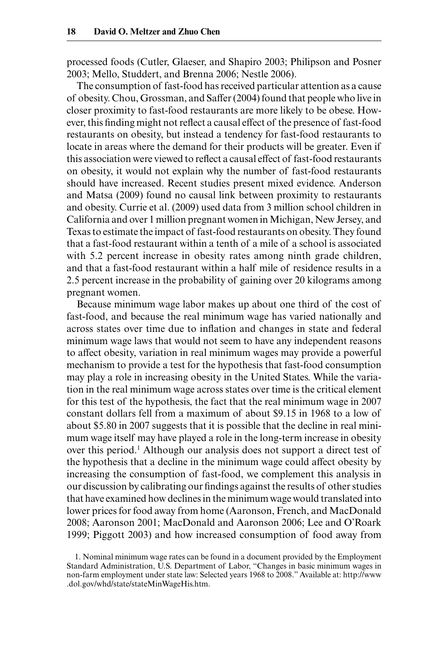processed foods (Cutler, Glaeser, and Shapiro 2003; Philipson and Posner 2003; Mello, Studdert, and Brenna 2006; Nestle 2006).

The consumption of fast- food has received particular attention as a cause of obesity. Chou, Grossman, and Saffer (2004) found that people who live in closer proximity to fast- food restaurants are more likely to be obese. However, this finding might not reflect a causal effect of the presence of fast-food restaurants on obesity, but instead a tendency for fast- food restaurants to locate in areas where the demand for their products will be greater. Even if this association were viewed to reflect a causal effect of fast-food restaurants on obesity, it would not explain why the number of fast- food restaurants should have increased. Recent studies present mixed evidence. Anderson and Matsa (2009) found no causal link between proximity to restaurants and obesity. Currie et al. (2009) used data from 3 million school children in California and over 1 million pregnant women in Michigan, New Jersey, and Texas to estimate the impact of fast- food restaurants on obesity. They found that a fast- food restaurant within a tenth of a mile of a school is associated with 5.2 percent increase in obesity rates among ninth grade children, and that a fast-food restaurant within a half mile of residence results in a 2.5 percent increase in the probability of gaining over 20 kilograms among pregnant women.

Because minimum wage labor makes up about one third of the cost of fast- food, and because the real minimum wage has varied nationally and across states over time due to inflation and changes in state and federal minimum wage laws that would not seem to have any independent reasons to affect obesity, variation in real minimum wages may provide a powerful mechanism to provide a test for the hypothesis that fast- food consumption may play a role in increasing obesity in the United States. While the variation in the real minimum wage across states over time is the critical element for this test of the hypothesis, the fact that the real minimum wage in 2007 constant dollars fell from a maximum of about \$9.15 in 1968 to a low of about \$5.80 in 2007 suggests that it is possible that the decline in real minimum wage itself may have played a role in the long-term increase in obesity over this period.<sup>1</sup> Although our analysis does not support a direct test of the hypothesis that a decline in the minimum wage could affect obesity by increasing the consumption of fast- food, we complement this analysis in our discussion by calibrating our findings against the results of other studies that have examined how declines in the minimum wage would translated into lower prices for food away from home (Aaronson, French, and MacDonald 2008; Aaronson 2001; MacDonald and Aaronson 2006; Lee and O'Roark 1999; Piggott 2003) and how increased consumption of food away from

<sup>1.</sup> Nominal minimum wage rates can be found in a document provided by the Employment Standard Administration, U.S. Department of Labor, "Changes in basic minimum wages in non-farm employment under state law: Selected years 1968 to 2008." Available at: http://www .dol.gov/whd/state/stateMinWageHis.htm.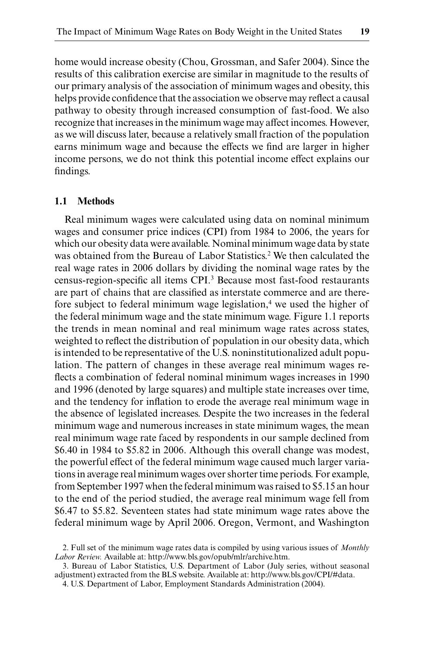home would increase obesity (Chou, Grossman, and Safer 2004). Since the results of this calibration exercise are similar in magnitude to the results of our primary analysis of the association of minimum wages and obesity, this helps provide confidence that the association we observe may reflect a causal pathway to obesity through increased consumption of fast- food. We also recognize that increases in the minimum wage may affect incomes. However, as we will discuss later, because a relatively small fraction of the population earns minimum wage and because the effects we find are larger in higher income persons, we do not think this potential income effect explains our findings.

#### **1.1 Methods**

Real minimum wages were calculated using data on nominal minimum wages and consumer price indices (CPI) from 1984 to 2006, the years for which our obesity data were available. Nominal minimum wage data by state was obtained from the Bureau of Labor Statistics.<sup>2</sup> We then calculated the real wage rates in 2006 dollars by dividing the nominal wage rates by the census-region-specific all items CPI.<sup>3</sup> Because most fast-food restaurants are part of chains that are classified as interstate commerce and are therefore subject to federal minimum wage legislation,<sup>4</sup> we used the higher of the federal minimum wage and the state minimum wage. Figure 1.1 reports the trends in mean nominal and real minimum wage rates across states, weighted to reflect the distribution of population in our obesity data, which is intended to be representative of the U.S. noninstitutionalized adult population. The pattern of changes in these average real minimum wages reflects a combination of federal nominal minimum wages increases in 1990 and 1996 (denoted by large squares) and multiple state increases over time, and the tendency for inflation to erode the average real minimum wage in the absence of legislated increases. Despite the two increases in the federal minimum wage and numerous increases in state minimum wages, the mean real minimum wage rate faced by respondents in our sample declined from \$6.40 in 1984 to \$5.82 in 2006. Although this overall change was modest, the powerful effect of the federal minimum wage caused much larger variations in average real minimum wages over shorter time periods. For example, from September 1997 when the federal minimum was raised to \$5.15 an hour to the end of the period studied, the average real minimum wage fell from \$6.47 to \$5.82. Seventeen states had state minimum wage rates above the federal minimum wage by April 2006. Oregon, Vermont, and Washington

<sup>2.</sup> Full set of the minimum wage rates data is compiled by using various issues of *Monthly*  Labor Review. Available at: http://www.bls.gov/opub/mlr/archive.htm.

<sup>3.</sup> Bureau of Labor Statistics, U.S. Department of Labor (July series, without seasonal adjustment) extracted from the BLS website. Available at: http://www.bls.gov/CPI/#data.

<sup>4.</sup> U.S. Department of Labor, Employment Standards Administration (2004).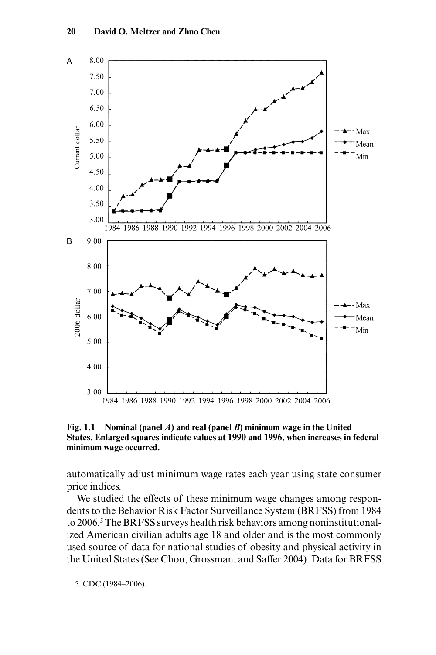

**Fig. 1.1 Nominal (panel** *A***) and real (panel** *B***) minimum wage in the United States. Enlarged squares indicate values at 1990 and 1996, when increases in federal minimum wage occurred.**

automatically adjust minimum wage rates each year using state consumer price indices.

We studied the effects of these minimum wage changes among respondents to the Behavior Risk Factor Surveillance System (BRFSS) from 1984 to 2006.<sup>5</sup> The BRFSS surveys health risk behaviors among noninstitutionalized American civilian adults age 18 and older and is the most commonly used source of data for national studies of obesity and physical activity in the United States (See Chou, Grossman, and Saffer 2004). Data for BRFSS

5. CDC (1984-2006).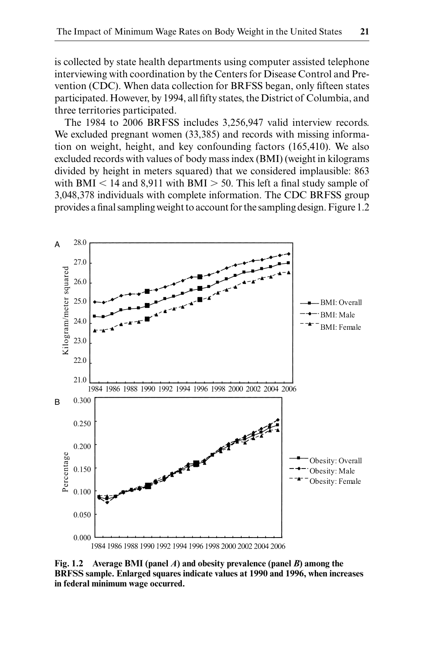is collected by state health departments using computer assisted telephone interviewing with coordination by the Centers for Disease Control and Prevention (CDC). When data collection for BRFSS began, only fifteen states participated. However, by 1994, all fifty states, the District of Columbia, and three territories participated.

The 1984 to 2006 BRFSS includes 3,256,947 valid interview records. We excluded pregnant women (33,385) and records with missing information on weight, height, and key confounding factors (165,410). We also excluded records with values of body mass index (BMI) (weight in kilograms divided by height in meters squared) that we considered implausible: 863 with BMI  $<$  14 and 8,911 with BMI  $>$  50. This left a final study sample of 3,048,378 individuals with complete information. The CDC BRFSS group provides a final sampling weight to account for the sampling design. Figure 1.2



**Fig. 1.2 Average BMI (panel** *A***) and obesity prevalence (panel** *B***) among the BRFSS sample. Enlarged squares indicate values at 1990 and 1996, when increases in federal minimum wage occurred.**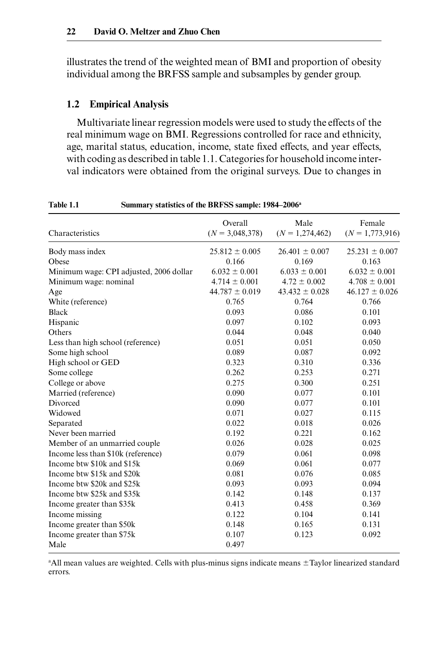illustrates the trend of the weighted mean of BMI and proportion of obesity individual among the BRFSS sample and subsamples by gender group.

## **1.2 Empirical Analysis**

Multivariate linear regression models were used to study the effects of the real minimum wage on BMI. Regressions controlled for race and ethnicity, age, marital status, education, income, state fixed effects, and year effects, with coding as described in table 1.1. Categories for household income interval indicators were obtained from the original surveys. Due to changes in

| 14VR 1.1                                |                              |                           |                             |
|-----------------------------------------|------------------------------|---------------------------|-----------------------------|
| Characteristics                         | Overall<br>$(N = 3,048,378)$ | Male<br>$(N = 1,274,462)$ | Female<br>$(N = 1,773,916)$ |
| Body mass index                         | $25.812 \pm 0.005$           | $26.401 \pm 0.007$        | $25.231 \pm 0.007$          |
| Obese                                   | 0.166                        | 0.169                     | 0.163                       |
| Minimum wage: CPI adjusted, 2006 dollar | $6.032 \pm 0.001$            | $6.033 \pm 0.001$         | $6.032 \pm 0.001$           |
| Minimum wage: nominal                   | $4.714 \pm 0.001$            | $4.72 \pm 0.002$          | $4.708 \pm 0.001$           |
| Age                                     | $44.787 \pm 0.019$           | $43.432 \pm 0.028$        | $46.127 \pm 0.026$          |
| White (reference)                       | 0.765                        | 0.764                     | 0.766                       |
| Black                                   | 0.093                        | 0.086                     | 0.101                       |
| Hispanic                                | 0.097                        | 0.102                     | 0.093                       |
| Others                                  | 0.044                        | 0.048                     | 0.040                       |
| Less than high school (reference)       | 0.051                        | 0.051                     | 0.050                       |
| Some high school                        | 0.089                        | 0.087                     | 0.092                       |
| High school or GED                      | 0.323                        | 0.310                     | 0.336                       |
| Some college                            | 0.262                        | 0.253                     | 0.271                       |
| College or above                        | 0.275                        | 0.300                     | 0.251                       |
| Married (reference)                     | 0.090                        | 0.077                     | 0.101                       |
| Divorced                                | 0.090                        | 0.077                     | 0.101                       |
| Widowed                                 | 0.071                        | 0.027                     | 0.115                       |
| Separated                               | 0.022                        | 0.018                     | 0.026                       |
| Never been married                      | 0.192                        | 0.221                     | 0.162                       |
| Member of an unmarried couple           | 0.026                        | 0.028                     | 0.025                       |
| Income less than \$10k (reference)      | 0.079                        | 0.061                     | 0.098                       |
| Income btw \$10k and \$15k              | 0.069                        | 0.061                     | 0.077                       |
| Income btw \$15k and \$20k              | 0.081                        | 0.076                     | 0.085                       |
| Income btw \$20k and \$25k              | 0.093                        | 0.093                     | 0.094                       |
| Income btw \$25k and \$35k              | 0.142                        | 0.148                     | 0.137                       |
| Income greater than \$35k               | 0.413                        | 0.458                     | 0.369                       |
| Income missing                          | 0.122                        | 0.104                     | 0.141                       |
| Income greater than \$50k               | 0.148                        | 0.165                     | 0.131                       |
| Income greater than \$75k               | 0.107                        | 0.123                     | 0.092                       |
| Male                                    | 0.497                        |                           |                             |
|                                         |                              |                           |                             |

**Table 1.1 Summary statistics of the BRFSS sample: 1984–2006a**

<sup>a</sup>All mean values are weighted. Cells with plus-minus signs indicate means  $\pm$  Taylor linearized standard errors.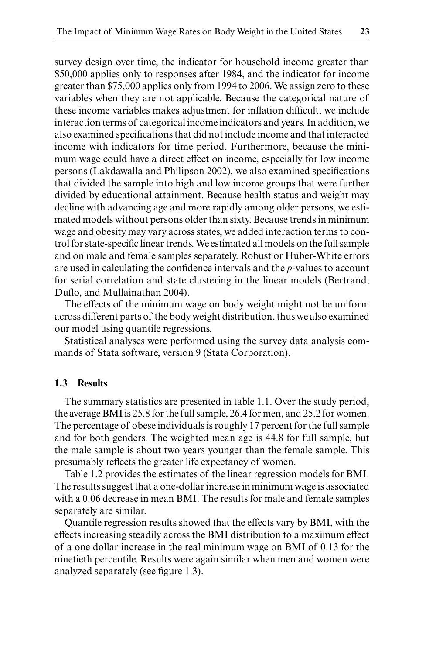survey design over time, the indicator for household income greater than \$50,000 applies only to responses after 1984, and the indicator for income greater than \$75,000 applies only from 1994 to 2006. We assign zero to these variables when they are not applicable. Because the categorical nature of these income variables makes adjustment for inflation difficult, we include interaction terms of categorical income indicators and years. In addition, we also examined specifications that did not include income and that interacted income with indicators for time period. Furthermore, because the minimum wage could have a direct effect on income, especially for low income persons (Lakdawalla and Philipson 2002), we also examined specifications that divided the sample into high and low income groups that were further divided by educational attainment. Because health status and weight may decline with advancing age and more rapidly among older persons, we estimated models without persons older than sixty. Because trends in minimum wage and obesity may vary across states, we added interaction terms to control for state-specific linear trends. We estimated all models on the full sample and on male and female samples separately. Robust or Huber- White errors are used in calculating the confidence intervals and the *p*-values to account for serial correlation and state clustering in the linear models (Bertrand, Duflo, and Mullainathan 2004).

The effects of the minimum wage on body weight might not be uniform across different parts of the body weight distribution, thus we also examined our model using quantile regressions.

Statistical analyses were performed using the survey data analysis commands of Stata software, version 9 (Stata Corporation).

#### **1.3 Results**

The summary statistics are presented in table 1.1. Over the study period, the average BMI is 25.8 for the full sample, 26.4 for men, and 25.2 for women. The percentage of obese individuals is roughly 17 percent for the full sample and for both genders. The weighted mean age is 44.8 for full sample, but the male sample is about two years younger than the female sample. This presumably reflects the greater life expectancy of women.

Table 1.2 provides the estimates of the linear regression models for BMI. The results suggest that a one- dollar increase in minimum wage is associated with a 0.06 decrease in mean BMI. The results for male and female samples separately are similar.

Quantile regression results showed that the effects vary by BMI, with the effects increasing steadily across the BMI distribution to a maximum effect of a one dollar increase in the real minimum wage on BMI of 0.13 for the ninetieth percentile. Results were again similar when men and women were analyzed separately (see figure 1.3).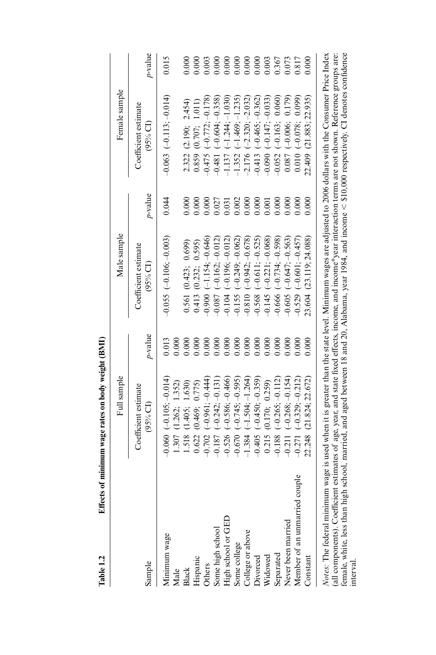| Table 1.2                                                       | Effects of minimum wage rates on body weight (BNII)                                                                                                                                                                                                                                                                                                                                                                                   |                 |                                  |            |                                    |                 |
|-----------------------------------------------------------------|---------------------------------------------------------------------------------------------------------------------------------------------------------------------------------------------------------------------------------------------------------------------------------------------------------------------------------------------------------------------------------------------------------------------------------------|-----------------|----------------------------------|------------|------------------------------------|-----------------|
|                                                                 | Full sample                                                                                                                                                                                                                                                                                                                                                                                                                           |                 | Male sample                      |            | Female sample                      |                 |
| Sample                                                          | Coefficient estimate<br>$(95\% \text{ CI})$                                                                                                                                                                                                                                                                                                                                                                                           | <i>p</i> -value | Coefficient estimate<br>(95% CI) | $p$ -value | Coefficient estimate<br>$(95\%$ CT | <i>p</i> -value |
| Minimum wage                                                    | $-0.060$ $(-0.105:-0.014)$                                                                                                                                                                                                                                                                                                                                                                                                            | 0.013           | $-0.055$ $(-0.106, -0.003)$      | 0.044      | $-0.063$ $(-0.113,-0.014)$         | 0.015           |
| Black<br>Male                                                   | (1.262; 1.352)<br>(1.405, 1.630)<br>1.307<br>1.518                                                                                                                                                                                                                                                                                                                                                                                    | 0.000<br>0.000  | (0.423; 0.699)<br>0.561          | 0.000      | 2.454)<br>(2.190;<br>2.322         | 000.1           |
| Hispanic                                                        | (0.469; 0.775)<br>0.622                                                                                                                                                                                                                                                                                                                                                                                                               | 0.000           | (0.232; 0.595)<br>0.413          | 0.000      | (0.707; 1.011)<br>0.859            | 0.000           |
| Others                                                          | $(-0.961,-0.444)$<br>$-0.702$                                                                                                                                                                                                                                                                                                                                                                                                         | 0.000           | $(-1.154; -0.646)$<br>0.900      | 0.000      | $-0.475$ $(-0.772; -0.178)$        | 0.003           |
|                                                                 | $(-0.242,-0.131)$<br>$-0.187$                                                                                                                                                                                                                                                                                                                                                                                                         | 0.000           | $(-0.162,-0.012)$<br>-0.087      | 0.027      | $(-0.604,-0.358)$<br>$-0.481$      | 0.000           |
|                                                                 | $(-0.586; -0.466)$<br>$-0.526$                                                                                                                                                                                                                                                                                                                                                                                                        | 0.000           | $(-0.196; -0.012)$<br>$-0.104$   | 0.031      | $(-1.244; -1.030)$<br>$-1.137$     | 0.000           |
| Some high school<br>High school or GED<br>Some college          | $(-0.745; -0.595)$<br>$-0.670$                                                                                                                                                                                                                                                                                                                                                                                                        | 0.000           | $(-0.249, -0.062)$<br>$-0.155$   | 0.002      | $(-1.469; -1.235)$<br>$-1.352$     | 0.000           |
| College or above                                                | $(-1.504,-1.264)$<br>$-1.384$                                                                                                                                                                                                                                                                                                                                                                                                         | 0.000           | $(-0.942, -0.678)$<br>$-0.810$   | 0.000      | $(-2.320; -2.032)$<br>$-2.176$     | 0.000           |
| Divorced                                                        | $(-0.450,-0.359)$<br>$-0.405$                                                                                                                                                                                                                                                                                                                                                                                                         | 0.000           | $(-0.611,-0.525)$<br>$-0.568$    | 0.000      | $(-0.465, -0.362)$<br>$-0.413$     | 0.000           |
| Widowed                                                         | (0.170; 0.259)<br>0.215                                                                                                                                                                                                                                                                                                                                                                                                               | 0.000           | $(-0.221; -0.068)$<br>$-0.145$   | 0.001      | $(-0.147,-0.033)$<br>$-0.090$      | 0.003           |
| Separated                                                       | $(-0.265, -0.112)$<br>$-0.188$                                                                                                                                                                                                                                                                                                                                                                                                        | 0.000           | $(-0.734, -0.598)$<br>0.666      | 0.000      | $(-0.163; 0.060)$<br>$-0.052$      | 0.367           |
|                                                                 | $(-0.268,-0.154)$<br>$-0.211$                                                                                                                                                                                                                                                                                                                                                                                                         | 0.000           | $(-0.647,-0.563)$<br>$-0.605$    | 0.000      | $(-0.006; 0.179)$<br>0.087         | 0.73            |
| Never been married<br>Member of an unmarried couple             | $(-0.329,-0.212)$<br>$-0.271$                                                                                                                                                                                                                                                                                                                                                                                                         | 0.000           | $(-0.601: -0.457)$<br>0.529      | 0.000      | $(-0.078; 0.099)$<br>0.010         | 0.817           |
| Constant                                                        | 22.248 (21.824; 22.672)                                                                                                                                                                                                                                                                                                                                                                                                               | 0.000           | (23.119; 24.088)<br>23.604       | 0.000      | 22.409 (21.883; 22.935)            | 0.000           |
| Notes: The federal minin<br>emale, white, less than<br>interval | high school, married, and aged between 18 and 20, Alabama, year 1984, and income < \$10,00 respectively. CI denotes confidence<br>mum wage is used when it is greater than the state level. Minimum wages are adjusted to 2006 dollars with the Consumer Price Index<br>(all components). Coefficient estimates of age, year, and state fixed effects, income, and income*year interaction terms are not shown. Reference groups are: |                 |                                  |            |                                    |                 |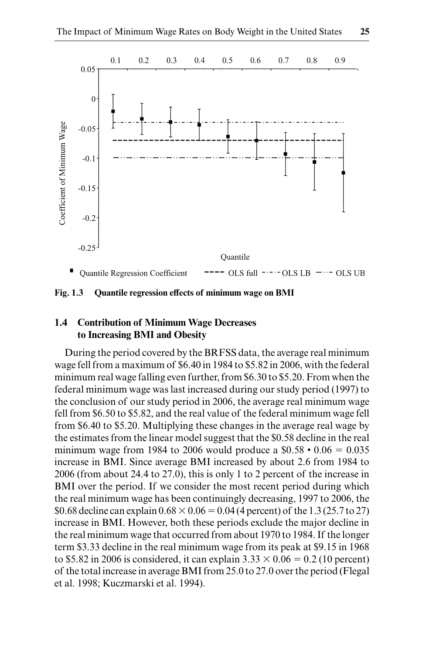

Fig. 1.3 Ouantile regression effects of minimum wage on BMI

# **1.4 Contribution of Minimum Wage Decreases to Increasing BMI and Obesity**

During the period covered by the BRFSS data, the average real minimum wage fell from a maximum of \$6.40 in 1984 to \$5.82 in 2006, with the federal minimum real wage falling even further, from \$6.30 to \$5.20. From when the federal minimum wage was last increased during our study period (1997) to the conclusion of our study period in 2006, the average real minimum wage fell from \$6.50 to \$5.82, and the real value of the federal minimum wage fell from \$6.40 to \$5.20. Multiplying these changes in the average real wage by the estimates from the linear model suggest that the \$0.58 decline in the real minimum wage from 1984 to 2006 would produce a  $$0.58 \cdot 0.06 = 0.035$ increase in BMI. Since average BMI increased by about 2.6 from 1984 to 2006 (from about 24.4 to 27.0), this is only 1 to 2 percent of the increase in BMI over the period. If we consider the most recent period during which the real minimum wage has been continuingly decreasing, 1997 to 2006, the \$0.68 decline can explain  $0.68 \times 0.06 = 0.04$  (4 percent) of the 1.3 (25.7 to 27) increase in BMI. However, both these periods exclude the major decline in the real minimum wage that occurred from about 1970 to 1984. If the longer term \$3.33 decline in the real minimum wage from its peak at \$9.15 in 1968 to \$5.82 in 2006 is considered, it can explain  $3.33 \times 0.06 = 0.2$  (10 percent) of the total increase in average BMI from 25.0 to 27.0 over the period (Flegal et al. 1998; Kuczmarski et al. 1994).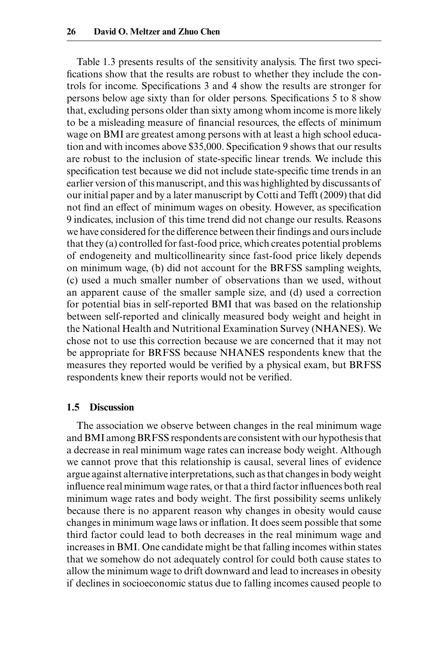Table 1.3 presents results of the sensitivity analysis. The first two speci-fications show that the results are robust to whether they include the controls for income. Specifications 3 and 4 show the results are stronger for persons below age sixty than for older persons. Specifications 5 to 8 show that, excluding persons older than sixty among whom income is more likely to be a misleading measure of financial resources, the effects of minimum wage on BMI are greatest among persons with at least a high school education and with incomes above \$35,000. Specification 9 shows that our results are robust to the inclusion of state-specific linear trends. We include this specification test because we did not include state-specific time trends in an earlier version of this manuscript, and this was highlighted by discussants of our initial paper and by a later manuscript by Cotti and Tefft (2009) that did not find an effect of minimum wages on obesity. However, as specification 9 indicates, inclusion of this time trend did not change our results. Reasons we have considered for the difference between their findings and ours include that they (a) controlled for fast- food price, which creates potential problems of endogeneity and multicollinearity since fast- food price likely depends on minimum wage, (b) did not account for the BRFSS sampling weights, (c) used a much smaller number of observations than we used, without an apparent cause of the smaller sample size, and (d) used a correction for potential bias in self- reported BMI that was based on the relationship between self-reported and clinically measured body weight and height in the National Health and Nutritional Examination Survey (NHANES). We chose not to use this correction because we are concerned that it may not be appropriate for BRFSS because NHANES respondents knew that the measures they reported would be verified by a physical exam, but BRFSS respondents knew their reports would not be verified.

## **1.5 Discussion**

The association we observe between changes in the real minimum wage and BMI among BRFSS respondents are consistent with our hypothesis that a decrease in real minimum wage rates can increase body weight. Although we cannot prove that this relationship is causal, several lines of evidence argue against alternative interpretations, such as that changes in body weight influence real minimum wage rates, or that a third factor influences both real minimum wage rates and body weight. The first possibility seems unlikely because there is no apparent reason why changes in obesity would cause changes in minimum wage laws or inflation. It does seem possible that some third factor could lead to both decreases in the real minimum wage and increases in BMI. One candidate might be that falling incomes within states that we somehow do not adequately control for could both cause states to allow the minimum wage to drift downward and lead to increases in obesity if declines in socioeconomic status due to falling incomes caused people to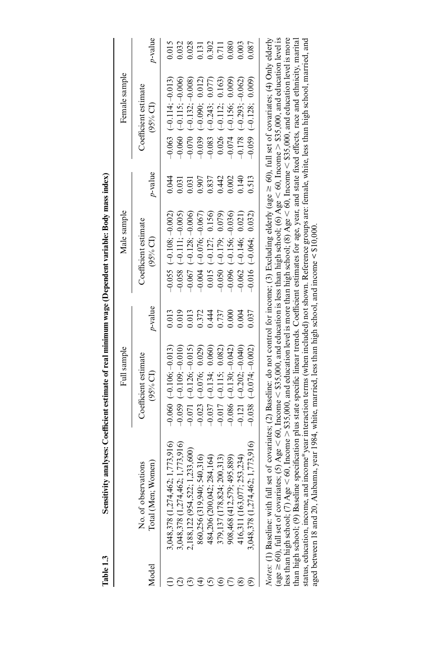|       |                                                                                                                                                                                                                       | Full sample                        |                                  | Male sample                                                                                                                            |                | Female sample                    |                    |
|-------|-----------------------------------------------------------------------------------------------------------------------------------------------------------------------------------------------------------------------|------------------------------------|----------------------------------|----------------------------------------------------------------------------------------------------------------------------------------|----------------|----------------------------------|--------------------|
| Model | No. of observations<br>Total (Men; Women)                                                                                                                                                                             | Coefficient estimate<br>$(95%$ CI) | $p$ -value                       | Coefficient estimate<br>(95% CI)                                                                                                       | $p$ -value     | Coefficient estimate<br>(95% CI) | $p$ -value         |
|       | 3,048,378 (1,274,462; 1,773,916)                                                                                                                                                                                      | $-0.060$ $(-0.106, -0.013)$        | 0.13                             | $-0.055$ $(-0.108,-0.002)$                                                                                                             | 0.044          | $-0.063$ $(-0.114,-0.013)$       | 0.015              |
|       | 3,048,378 (1,274,462; 1,773,916)                                                                                                                                                                                      | $-0.059$ $(-0.1010 - 0.0100)$      | 0.019                            | $-0.058$ $(-0.111,-0.005)$                                                                                                             | 0.031          | $(-0.115,-0.006)$<br>$-0.060$    | 0.32               |
|       | 2,188,122 (954,522; 1,233,600)                                                                                                                                                                                        | $(-0.126,-0.015)$<br>$-0.071$      | 0.13                             | $-0.067$ $(-0.128, -0.006)$                                                                                                            | 0.031          | $(-0.132,-0.008)$<br>$-0.070$    | 0.028              |
|       | 860,256 (319,940; 540,316)                                                                                                                                                                                            | $(-0.076; 0.029)$<br>$-0.023$      |                                  | $-0.004$ $(-0.076, -0.067)$                                                                                                            | 0.907          | $(-0.090; 0.012)$<br>$-0.039$    | 0.131              |
|       | 484,206 (200,042; 284,164)                                                                                                                                                                                            | 0.060<br>$(-0.134;$<br>$-0.037$    |                                  | $0.015 (-0.127; 0.156)$                                                                                                                |                | 0.077<br>$(-0.243;$<br>$-0.083$  | $0.302$<br>$0.711$ |
|       | 379,137 (178,824; 200,313)                                                                                                                                                                                            | $(-0.115; 0.082)$<br>$-0.017$      | 0.372<br>0.444<br>0.737<br>0.000 | $-0.050$ $(-0.179; 0.079)$                                                                                                             | 0.442<br>0.002 | 0.163<br>$(-0.112;$<br>0.026     |                    |
|       | 908,468 (412,579; 495,889)                                                                                                                                                                                            | $(-0.130,-0.042)$<br>$-0.086$      |                                  | $-0.096$ $(-0.156, -0.036)$                                                                                                            |                | $(-0.156; 0.009)$<br>$-0.074$    | 0.080              |
|       | 416,311 (163,077; 253,234)                                                                                                                                                                                            | $(-0.202,-0.040)$<br>$-0.121$      | 0.004                            | $-0.062$ $(-0.146; 0.021)$                                                                                                             | 0.140          | $(-0.293,-0.062)$<br>0.178       | 0.003              |
|       | 3,048,378 (1,274,462; 1,773,916)                                                                                                                                                                                      | $-0.038$ $(-0.074,-0.002)$         | 0.037                            | $-0.016$ $(-0.064; 0.032)$                                                                                                             | 0.513          | $(-0.128; 0.009)$<br>$-0.059$    | 0.087              |
|       | Notes: (1) Baseline: with full set of covariates; (2) Baseline: do not control for income; (3) Excluding elderly (age $\geq 60$ ), full set of covariates; (4) Only elderly<br>(age $\geq$ 60), full set of covariant |                                    |                                  | ates; (5) Age < 60, Income < \$35,000, and education is less than high school; (6) Age < 60, Income > \$35,000, and education level is |                |                                  |                    |

Sensitivity analyses: Coefficient estimate of real minimum wage (Dependent variable: Body mass index) **Table 1.3 Sensitivity analyses: Coefficient estimate of real minimum wage (Dependent variable: Body mass index)** Table 1.3  \$35,000, and education level is more than high school; (9) Baseline specification plus state specific linear trends. Coefficient estimates for age, year, and state fixed effects, race and ethnicity, marital status, education, income, and income∗year interaction terms (when included) not shown. Reference groups are: female, white, less than high school, married, and less than high schools (1/1 Age  $<$  00), (1/2 Age  $<$  00), (8) Age  $<$  00); (8) Age  $<$  00); (8) Age  $<$  00); (8) Age  $<$  00); (0) Age  $<$  00); (0) Age  $<$  00); (0) Age  $<$  00); (0) and education is more in a more in the than high school; (9) Baseline specification plus state specific linear trends. Coefficient estimates for age, year, and state fixed effects, race and ethnicity, marital status, education, income, and income\*year interaction terms (when included) not shown. Reference groups are: female, white, less than high school, married, and<br>aged between 18 and 20, Alabama, year 1984, white, married,  $60,$  Income  $<$ 60, Income  $>$  \$35,000, and education level is more than high school; (8) Age  $<$ aged between 18 and 20, Alabama, year 1984, white, married, less than high school, and income  $\lt 8100$ . less than high school; (7) Age  $<$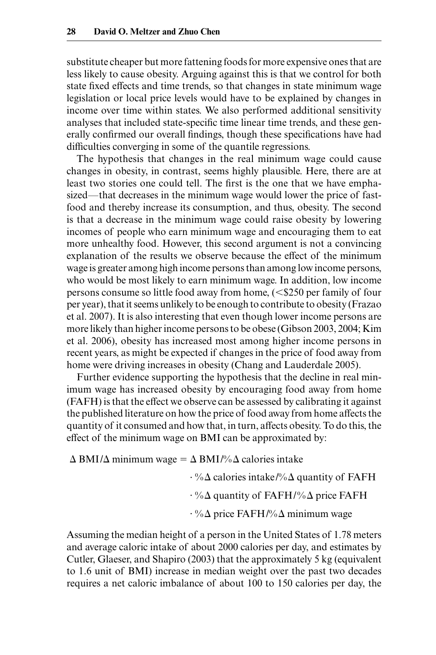substitute cheaper but more fattening foods for more expensive ones that are less likely to cause obesity. Arguing against this is that we control for both state fixed effects and time trends, so that changes in state minimum wage legislation or local price levels would have to be explained by changes in income over time within states. We also performed additional sensitivity analyses that included state-specific time linear time trends, and these generally confirmed our overall findings, though these specifications have had difficulties converging in some of the quantile regressions.

The hypothesis that changes in the real minimum wage could cause changes in obesity, in contrast, seems highly plausible. Here, there are at least two stories one could tell. The first is the one that we have emphasized—that decreases in the minimum wage would lower the price of fast food and thereby increase its consumption, and thus, obesity. The second is that a decrease in the minimum wage could raise obesity by lowering incomes of people who earn minimum wage and encouraging them to eat more unhealthy food. However, this second argument is not a convincing explanation of the results we observe because the effect of the minimum wage is greater among high income persons than among low income persons, who would be most likely to earn minimum wage. In addition, low income persons consume so little food away from home,  $\le$  \$250 per family of four per year), that it seems unlikely to be enough to contribute to obesity (Frazao et al. 2007). It is also interesting that even though lower income persons are more likely than higher income persons to be obese (Gibson 2003, 2004; Kim et al. 2006), obesity has increased most among higher income persons in recent years, as might be expected if changes in the price of food away from home were driving increases in obesity (Chang and Lauderdale 2005).

Further evidence supporting the hypothesis that the decline in real minimum wage has increased obesity by encouraging food away from home (FAFH) is that the effect we observe can be assessed by calibrating it against the published literature on how the price of food away from home affects the quantity of it consumed and how that, in turn, affects obesity. To do this, the effect of the minimum wage on BMI can be approximated by:

 $\Delta$  BMI/ $\Delta$  minimum wage =  $\Delta$  BMI/% $\Delta$  calories intake  $\cdot$ % $\Delta$  calories intake/% $\Delta$  quantity of FAFH  $\cdot$ % $\Delta$  quantity of FAFH/% $\Delta$  price FAFH  $\cdot$ % $\Delta$  price FAFH/% $\Delta$  minimum wage

Assuming the median height of a person in the United States of 1.78 meters and average caloric intake of about 2000 calories per day, and estimates by Cutler, Glaeser, and Shapiro (2003) that the approximately 5 kg (equivalent to 1.6 unit of BMI) increase in median weight over the past two decades requires a net caloric imbalance of about 100 to 150 calories per day, the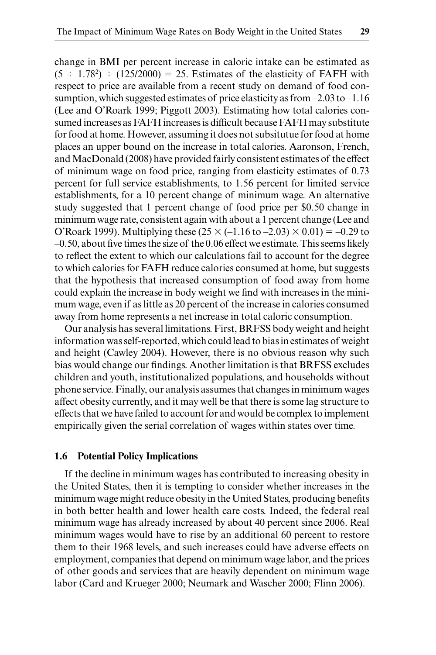change in BMI per percent increase in caloric intake can be estimated as  $(5 \div 1.78^2) \div (125/2000) = 25$ . Estimates of the elasticity of FAFH with respect to price are available from a recent study on demand of food consumption, which suggested estimates of price elasticity as from  $-2.03$  to  $-1.16$ (Lee and O'Roark 1999; Piggott 2003). Estimating how total calories consumed increases as FAFH increases is difficult because FAFH may substitute for food at home. However, assuming it does not subsitutue for food at home places an upper bound on the increase in total calories. Aaronson, French, and MacDonald (2008) have provided fairly consistent estimates of the effect of minimum wage on food price, ranging from elasticity estimates of 0.73 percent for full service establishments, to 1.56 percent for limited service establishments, for a 10 percent change of minimum wage. An alternative study suggested that 1 percent change of food price per \$0.50 change in minimum wage rate, consistent again with about a 1 percent change (Lee and O'Roark 1999). Multiplying these  $(25 \times (-1.16 \text{ to } -2.03) \times 0.01) = -0.29 \text{ to }$  $-0.50$ , about five times the size of the 0.06 effect we estimate. This seems likely to reflect the extent to which our calculations fail to account for the degree to which calories for FAFH reduce calories consumed at home, but suggests that the hypothesis that increased consumption of food away from home could explain the increase in body weight we find with increases in the minimum wage, even if as little as 20 percent of the increase in calories consumed away from home represents a net increase in total caloric consumption.

Our analysis has several limitations. First, BRFSS body weight and height information was self- reported, which could lead to bias in estimates of weight and height (Cawley 2004). However, there is no obvious reason why such bias would change our findings. Another limitation is that BRFSS excludes children and youth, institutionalized populations, and households without phone service. Finally, our analysis assumes that changes in minimum wages affect obesity currently, and it may well be that there is some lag structure to effects that we have failed to account for and would be complex to implement empirically given the serial correlation of wages within states over time.

## **1.6 Potential Policy Implications**

If the decline in minimum wages has contributed to increasing obesity in the United States, then it is tempting to consider whether increases in the minimum wage might reduce obesity in the United States, producing benefits in both better health and lower health care costs. Indeed, the federal real minimum wage has already increased by about 40 percent since 2006. Real minimum wages would have to rise by an additional 60 percent to restore them to their 1968 levels, and such increases could have adverse effects on employment, companies that depend on minimum wage labor, and the prices of other goods and services that are heavily dependent on minimum wage labor (Card and Krueger 2000; Neumark and Wascher 2000; Flinn 2006).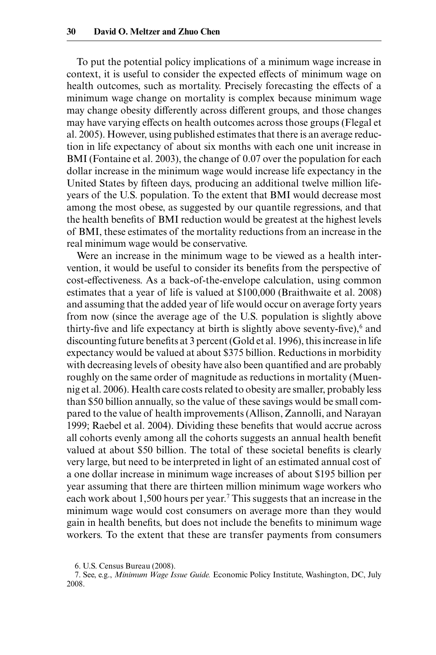To put the potential policy implications of a minimum wage increase in context, it is useful to consider the expected effects of minimum wage on health outcomes, such as mortality. Precisely forecasting the effects of a minimum wage change on mortality is complex because minimum wage may change obesity differently across different groups, and those changes may have varying effects on health outcomes across those groups (Flegal et al. 2005). However, using published estimates that there is an average reduction in life expectancy of about six months with each one unit increase in BMI (Fontaine et al. 2003), the change of 0.07 over the population for each dollar increase in the minimum wage would increase life expectancy in the United States by fifteen days, producing an additional twelve million life years of the U.S. population. To the extent that BMI would decrease most among the most obese, as suggested by our quantile regressions, and that the health benefits of BMI reduction would be greatest at the highest levels of BMI, these estimates of the mortality reductions from an increase in the real minimum wage would be conservative.

Were an increase in the minimum wage to be viewed as a health intervention, it would be useful to consider its benefits from the perspective of cost- effectiveness. As a back-of-the-envelope calculation, using common estimates that a year of life is valued at \$100,000 (Braithwaite et al. 2008) and assuming that the added year of life would occur on average forty years from now (since the average age of the U.S. population is slightly above thirty-five and life expectancy at birth is slightly above seventy-five), $6$  and discounting future benefits at 3 percent (Gold et al. 1996), this increase in life expectancy would be valued at about \$375 billion. Reductions in morbidity with decreasing levels of obesity have also been quantified and are probably roughly on the same order of magnitude as reductions in mortality (Muennig et al. 2006). Health care costs related to obesity are smaller, probably less than \$50 billion annually, so the value of these savings would be small compared to the value of health improvements (Allison, Zannolli, and Narayan 1999; Raebel et al. 2004). Dividing these benefits that would accrue across all cohorts evenly among all the cohorts suggests an annual health benefit valued at about \$50 billion. The total of these societal benefits is clearly very large, but need to be interpreted in light of an estimated annual cost of a one dollar increase in minimum wage increases of about \$195 billion per year assuming that there are thirteen million minimum wage workers who each work about 1,500 hours per year.<sup>7</sup> This suggests that an increase in the minimum wage would cost consumers on average more than they would gain in health benefits, but does not include the benefits to minimum wage workers. To the extent that these are transfer payments from consumers

<sup>6.</sup> U.S. Census Bureau (2008).

<sup>7.</sup> See, e.g., *Minimum Wage Issue Guide.* Economic Policy Institute, Washington, DC, July 2008.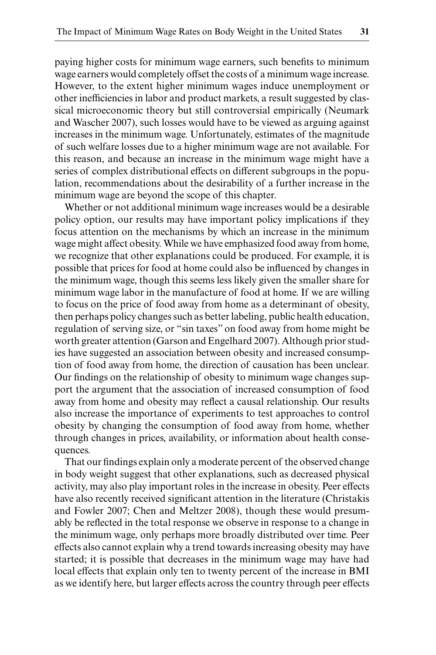paying higher costs for minimum wage earners, such benefits to minimum wage earners would completely offset the costs of a minimum wage increase. However, to the extent higher minimum wages induce unemployment or other inefficiencies in labor and product markets, a result suggested by classical microeconomic theory but still controversial empirically (Neumark and Wascher 2007), such losses would have to be viewed as arguing against increases in the minimum wage. Unfortunately, estimates of the magnitude of such welfare losses due to a higher minimum wage are not available. For this reason, and because an increase in the minimum wage might have a series of complex distributional effects on different subgroups in the population, recommendations about the desirability of a further increase in the minimum wage are beyond the scope of this chapter.

Whether or not additional minimum wage increases would be a desirable policy option, our results may have important policy implications if they focus attention on the mechanisms by which an increase in the minimum wage might affect obesity. While we have emphasized food away from home, we recognize that other explanations could be produced. For example, it is possible that prices for food at home could also be influenced by changes in the minimum wage, though this seems less likely given the smaller share for minimum wage labor in the manufacture of food at home. If we are willing to focus on the price of food away from home as a determinant of obesity, then perhaps policy changes such as better labeling, public health education, regulation of serving size, or "sin taxes" on food away from home might be worth greater attention (Garson and Engelhard 2007). Although prior studies have suggested an association between obesity and increased consumption of food away from home, the direction of causation has been unclear. Our findings on the relationship of obesity to minimum wage changes support the argument that the association of increased consumption of food away from home and obesity may reflect a causal relationship. Our results also increase the importance of experiments to test approaches to control obesity by changing the consumption of food away from home, whether through changes in prices, availability, or information about health consequences.

That our findings explain only a moderate percent of the observed change in body weight suggest that other explanations, such as decreased physical activity, may also play important roles in the increase in obesity. Peer effects have also recently received significant attention in the literature (Christakis and Fowler 2007; Chen and Meltzer 2008), though these would presumably be reflected in the total response we observe in response to a change in the minimum wage, only perhaps more broadly distributed over time. Peer effects also cannot explain why a trend towards increasing obesity may have started; it is possible that decreases in the minimum wage may have had local effects that explain only ten to twenty percent of the increase in BMI as we identify here, but larger effects across the country through peer effects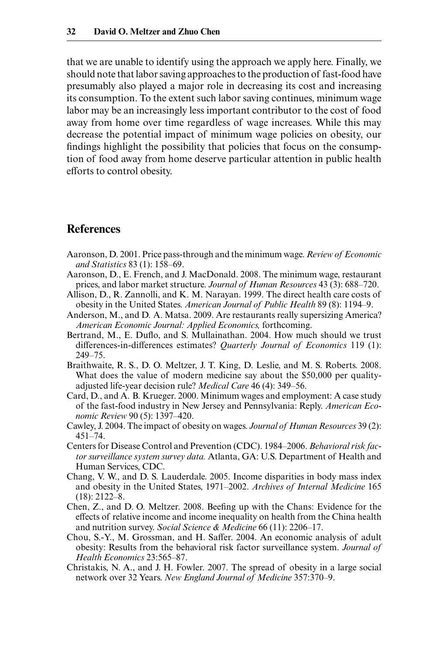that we are unable to identify using the approach we apply here. Finally, we should note that labor saving approaches to the production of fast- food have presumably also played a major role in decreasing its cost and increasing its consumption. To the extent such labor saving continues, minimum wage labor may be an increasingly less important contributor to the cost of food away from home over time regardless of wage increases. While this may decrease the potential impact of minimum wage policies on obesity, our findings highlight the possibility that policies that focus on the consumption of food away from home deserve particular attention in public health efforts to control obesity.

# **References**

- Aaronson, D. 2001. Price pass- through and the minimum wage. *Review of Economic and Statistics* 83 (1): 158–69.
- Aaronson, D., E. French, and J. MacDonald. 2008. The minimum wage, restaurant prices, and labor market structure. *Journal of Human Resources* 43 (3): 688–720.
- Allison, D., R. Zannolli, and K. M. Narayan. 1999. The direct health care costs of obesity in the United States. *American Journal of Public Health* 89 (8): 1194– 9.
- Anderson, M., and D. A. Matsa. 2009. Are restaurants really supersizing America? *American Economic Journal: Applied Economics,* forthcoming.
- Bertrand, M., E. Duflo, and S. Mullainathan. 2004. How much should we trust differences- in- differences estimates? *Quarterly Journal of Economics* 119 (1): 249– 75.
- Braithwaite, R. S., D. O. Meltzer, J. T. King, D. Leslie, and M. S. Roberts. 2008. What does the value of modern medicine say about the \$50,000 per qualityadjusted life-year decision rule? *Medical Care* 46 (4): 349–56.
- Card, D., and A. B. Krueger. 2000. Minimum wages and employment: A case study of the fast- food industry in New Jersey and Pennsylvania: Reply. *American Economic Review* 90 (5): 1397–420.
- Cawley, J. 2004. The impact of obesity on wages. *Journal of Human Resources* 39 (2):  $451 - 74.$
- Centers for Disease Control and Prevention (CDC). 1984– 2006. *Behavioral risk factor surveillance system survey data.* Atlanta, GA: U.S. Department of Health and Human Services, CDC.
- Chang, V. W., and D. S. Lauderdale. 2005. Income disparities in body mass index and obesity in the United States, 1971– 2002. *Archives of Internal Medicine* 165  $(18): 2122 - 8.$
- Chen, Z., and D. O. Meltzer. 2008. Beefing up with the Chans: Evidence for the effects of relative income and income inequality on health from the China health and nutrition survey. *Social Science & Medicine* 66 (11): 2206-17.
- Chou, S.- Y., M. Grossman, and H. Saffer. 2004. An economic analysis of adult obesity: Results from the behavioral risk factor surveillance system. *Journal of*  Health Economics 23:565-87.
- Christakis, N. A., and J. H. Fowler. 2007. The spread of obesity in a large social network over 32 Years. *New England Journal of Medicine* 357:370–9.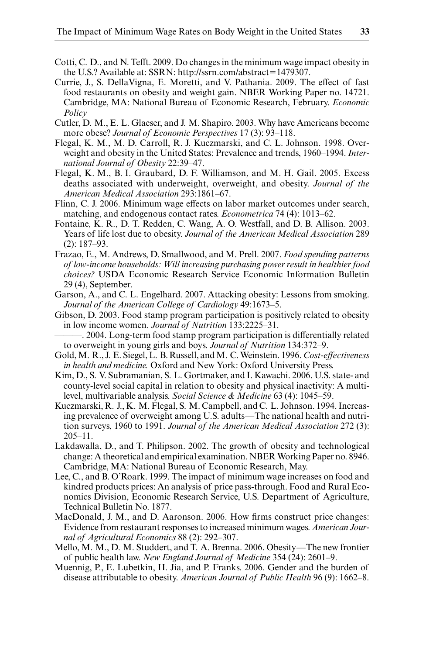- Cotti, C. D., and N. Tefft. 2009. Do changes in the minimum wage impact obesity in the U.S.? Available at: SSRN: http://ssrn.com/abstract=1479307.
- Currie, J., S. DellaVigna, E. Moretti, and V. Pathania. 2009. The effect of fast food restaurants on obesity and weight gain. NBER Working Paper no. 14721. Cambridge, MA: National Bureau of Economic Research, February. *Economic Policy*
- Cutler, D. M., E. L. Glaeser, and J. M. Shapiro. 2003. Why have Americans become more obese? *Journal of Economic Perspectives* 17(3): 93–118.
- Flegal, K. M., M. D. Carroll, R. J. Kuczmarski, and C. L. Johnson. 1998. Overweight and obesity in the United States: Prevalence and trends, 1960–1994. *Inter*national Journal of Obesity 22:39-47.
- Flegal, K. M., B. I. Graubard, D. F. Williamson, and M. H. Gail. 2005. Excess deaths associated with underweight, overweight, and obesity. *Journal of the*  American Medical Association 293:1861-67.
- Flinn, C. J. 2006. Minimum wage effects on labor market outcomes under search, matching, and endogenous contact rates. *Econometrica* 74 (4): 1013–62.
- Fontaine, K. R., D. T. Redden, C. Wang, A. O. Westfall, and D. B. Allison. 2003. Years of life lost due to obesity. *Journal of the American Medical Association* 289  $(2): 187 - 93.$
- Frazao, E., M. Andrews, D. Smallwood, and M. Prell. 2007. *Food spending patterns of low- income households: Will increasing purchasing power result in healthier food choices?* USDA Economic Research Service Economic Information Bulletin 29 (4), September.
- Garson, A., and C. L. Engelhard. 2007. Attacking obesity: Lessons from smoking. *Journal of the American College of Cardiology* 49:1673–5.
- Gibson, D. 2003. Food stamp program participation is positively related to obesity in low income women. *Journal of Nutrition* 133:2225–31.
- -. 2004. Long-term food stamp program participation is differentially related to overweight in young girls and boys. *Journal of Nutrition* 134:372–9.
- Gold, M. R., J. E. Siegel, L. B. Russell, and M. C. Weinstein. 1996. *Cost- effectiveness in health and medicine.* Oxford and New York: Oxford University Press.
- Kim, D., S. V. Subramanian, S. L. Gortmaker, and I. Kawachi. 2006. U.S. state- and county- level social capital in relation to obesity and physical inactivity: A multilevel, multivariable analysis. *Social Science & Medicine* 63 (4): 1045–59.
- Kuczmarski, R. J., K. M. Flegal, S. M. Campbell, and C. L. Johnson. 1994. Increasing prevalence of overweight among U.S. adults—The national health and nutrition surveys, 1960 to 1991. *Journal of the American Medical Association* 272 (3):  $205 - 11$ .
- Lakdawalla, D., and T. Philipson. 2002. The growth of obesity and technological change: A theoretical and empirical examination. NBER Working Paper no. 8946. Cambridge, MA: National Bureau of Economic Research, May.
- Lee, C., and B. O'Roark. 1999. The impact of minimum wage increases on food and kindred products prices: An analysis of price pass- through. Food and Rural Economics Division, Economic Research Service, U.S. Department of Agriculture, Technical Bulletin No. 1877.
- MacDonald, J. M., and D. Aaronson. 2006. How firms construct price changes: Evidence from restaurant responses to increased minimum wages. *American Journal of Agricultural Economics* 88 (2): 292– 307.
- Mello, M. M., D. M. Studdert, and T. A. Brenna. 2006. Obesity—The new frontier of public health law. *New England Journal of Medicine* 354 (24): 2601–9.
- Muennig, P., E. Lubetkin, H. Jia, and P. Franks. 2006. Gender and the burden of disease attributable to obesity. *American Journal of Public Health* 96 (9): 1662–8.